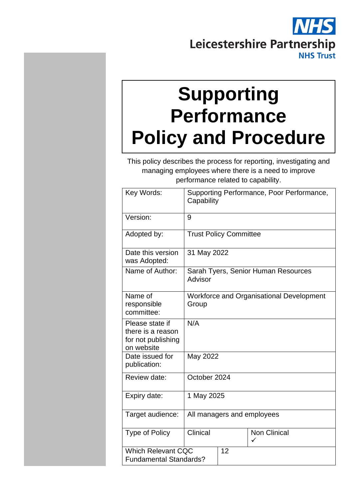

# **Supporting Performance Policy and Procedure**

This policy describes the process for reporting, investigating and managing employees where there is a need to improve performance related to capability.

| Key Words:                                                               | Supporting Performance, Poor Performance,<br>Capability |    |                                                 |
|--------------------------------------------------------------------------|---------------------------------------------------------|----|-------------------------------------------------|
| Version:                                                                 | 9                                                       |    |                                                 |
| Adopted by:                                                              | <b>Trust Policy Committee</b>                           |    |                                                 |
| Date this version<br>was Adopted:                                        | 31 May 2022                                             |    |                                                 |
| Name of Author:                                                          | Sarah Tyers, Senior Human Resources<br>Advisor          |    |                                                 |
| Name of<br>responsible<br>committee:                                     | Group                                                   |    | <b>Workforce and Organisational Development</b> |
| Please state if<br>there is a reason<br>for not publishing<br>on website | N/A                                                     |    |                                                 |
| Date issued for<br>publication:                                          | May 2022                                                |    |                                                 |
| Review date:                                                             | October 2024                                            |    |                                                 |
| Expiry date:                                                             | 1 May 2025                                              |    |                                                 |
| Target audience:                                                         | All managers and employees                              |    |                                                 |
| <b>Type of Policy</b>                                                    | Clinical                                                |    | <b>Non Clinical</b><br>✓                        |
| <b>Which Relevant CQC</b><br><b>Fundamental Standards?</b>               |                                                         | 12 |                                                 |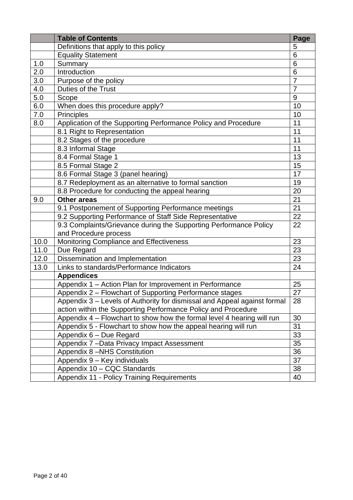|      | <b>Table of Contents</b>                                                 | Page           |
|------|--------------------------------------------------------------------------|----------------|
|      | Definitions that apply to this policy                                    | 5              |
|      | <b>Equality Statement</b>                                                | 6              |
| 1.0  | Summary                                                                  | 6              |
| 2.0  | Introduction                                                             | 6              |
| 3.0  | Purpose of the policy                                                    | $\overline{7}$ |
| 4.0  | Duties of the Trust                                                      | $\overline{7}$ |
| 5.0  | Scope                                                                    | 9              |
| 6.0  | When does this procedure apply?                                          | 10             |
| 7.0  | <b>Principles</b>                                                        | 10             |
| 8.0  | Application of the Supporting Performance Policy and Procedure           | 11             |
|      | 8.1 Right to Representation                                              | 11             |
|      | 8.2 Stages of the procedure                                              | 11             |
|      | 8.3 Informal Stage                                                       | 11             |
|      | 8.4 Formal Stage 1                                                       | 13             |
|      | 8.5 Formal Stage 2                                                       | 15             |
|      | 8.6 Formal Stage 3 (panel hearing)                                       | 17             |
|      | 8.7 Redeployment as an alternative to formal sanction                    | 19             |
|      | 8.8 Procedure for conducting the appeal hearing                          | 20             |
| 9.0  | <b>Other areas</b>                                                       | 21             |
|      | 9.1 Postponement of Supporting Performance meetings                      | 21             |
|      | 9.2 Supporting Performance of Staff Side Representative                  | 22             |
|      | 9.3 Complaints/Grievance during the Supporting Performance Policy        | 22             |
|      | and Procedure process                                                    |                |
| 10.0 | Monitoring Compliance and Effectiveness                                  | 23             |
| 11.0 | Due Regard                                                               | 23             |
| 12.0 | Dissemination and Implementation                                         | 23             |
| 13.0 | Links to standards/Performance Indicators                                | 24             |
|      | <b>Appendices</b>                                                        |                |
|      | Appendix 1 - Action Plan for Improvement in Performance                  | 25             |
|      | Appendix 2 - Flowchart of Supporting Performance stages                  | 27             |
|      | Appendix 3 - Levels of Authority for dismissal and Appeal against formal | 28             |
|      | action within the Supporting Performance Policy and Procedure            |                |
|      | Appendix 4 – Flowchart to show how the formal level 4 hearing will run   | 30             |
|      | Appendix 5 - Flowchart to show how the appeal hearing will run           | 31             |
|      | Appendix 6 - Due Regard                                                  | 33             |
|      | Appendix 7 - Data Privacy Impact Assessment                              | 35             |
|      | Appendix 8 -NHS Constitution                                             | 36             |
|      | Appendix 9 - Key individuals                                             | 37             |
|      | Appendix 10 - CQC Standards                                              | 38             |
|      | Appendix 11 - Policy Training Requirements                               | 40             |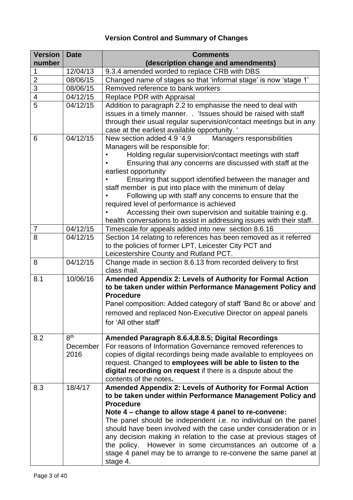### **Version Control and Summary of Changes**

| <b>Version</b> | <b>Date</b>     | <b>Comments</b>                                                                                                                     |
|----------------|-----------------|-------------------------------------------------------------------------------------------------------------------------------------|
| number         |                 | (description change and amendments)                                                                                                 |
| 1              | 12/04/13        | 9.3.4 amended worded to replace CRB with DBS                                                                                        |
| $\overline{2}$ | 08/06/15        | Changed name of stages so that 'informal stage' is now 'stage 1'                                                                    |
| $\overline{3}$ | 08/06/15        | Removed reference to bank workers                                                                                                   |
| $\overline{4}$ | 04/12/15        | Replace PDR with Appraisal                                                                                                          |
| 5              | 04/12/15        | Addition to paragraph 2.2 to emphasise the need to deal with                                                                        |
|                |                 | issues in a timely manner. . 'Issues should be raised with staff                                                                    |
|                |                 | through their usual regular supervision/contact meetings but in any<br>case at the earliest available opportunity. '                |
| 6              | 04/12/15        | New section added 4.9 '4.9<br>Managers responsibilities                                                                             |
|                |                 | Managers will be responsible for:                                                                                                   |
|                |                 | Holding regular supervision/contact meetings with staff                                                                             |
|                |                 | Ensuring that any concerns are discussed with staff at the                                                                          |
|                |                 | earliest opportunity                                                                                                                |
|                |                 | Ensuring that support identified between the manager and                                                                            |
|                |                 | staff member is put into place with the minimum of delay                                                                            |
|                |                 | Following up with staff any concerns to ensure that the                                                                             |
|                |                 | required level of performance is achieved                                                                                           |
|                |                 | Accessing their own supervision and suitable training e.g.<br>health conversations to assist in addressing issues with their staff. |
| 7              | 04/12/15        | Timescale for appeals added into new section 8.6.16                                                                                 |
| 8              | 04/12/15        | Section 14 relating to references has been removed as it referred                                                                   |
|                |                 | to the policies of former LPT, Leicester City PCT and                                                                               |
|                |                 | Leicestershire County and Rutland PCT.                                                                                              |
| 8              | 04/12/15        | Change made in section 8.6.13 from recorded delivery to first                                                                       |
|                |                 | class mail.                                                                                                                         |
| 8.1            | 10/06/16        | Amended Appendix 2: Levels of Authority for Formal Action                                                                           |
|                |                 | to be taken under within Performance Management Policy and                                                                          |
|                |                 | <b>Procedure</b>                                                                                                                    |
|                |                 | Panel composition: Added category of staff 'Band 8c or above' and                                                                   |
|                |                 | removed and replaced Non-Executive Director on appeal panels                                                                        |
|                |                 | for 'All other staff'                                                                                                               |
|                |                 |                                                                                                                                     |
| 8.2            | 8 <sup>th</sup> | Amended Paragraph 8.6.4, 8.8.5; Digital Recordings                                                                                  |
|                | December        | For reasons of Information Governance removed references to                                                                         |
|                | 2016            | copies of digital recordings being made available to employees on                                                                   |
|                |                 | request. Changed to employees will be able to listen to the                                                                         |
|                |                 | digital recording on request if there is a dispute about the                                                                        |
|                |                 | contents of the notes.                                                                                                              |
| 8.3            | 18/4/17         | Amended Appendix 2: Levels of Authority for Formal Action                                                                           |
|                |                 | to be taken under within Performance Management Policy and                                                                          |
|                |                 | <b>Procedure</b>                                                                                                                    |
|                |                 | Note 4 – change to allow stage 4 panel to re-convene:                                                                               |
|                |                 | The panel should be independent i.e. no individual on the panel                                                                     |
|                |                 | should have been involved with the case under consideration or in                                                                   |
|                |                 | any decision making in relation to the case at previous stages of<br>the policy.                                                    |
|                |                 | However in some circumstances an outcome of a<br>stage 4 panel may be to arrange to re-convene the same panel at                    |
|                |                 | stage 4.                                                                                                                            |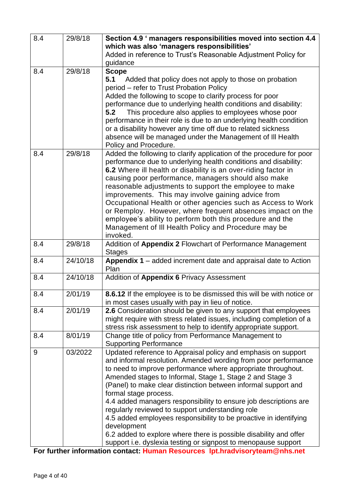| 8.4 | 29/8/18  | Section 4.9 ' managers responsibilities moved into section 4.4<br>which was also 'managers responsibilities'<br>Added in reference to Trust's Reasonable Adjustment Policy for<br>guidance                                                                                                                                                                                                                                                                                                                                                                                                                                                                                                                |
|-----|----------|-----------------------------------------------------------------------------------------------------------------------------------------------------------------------------------------------------------------------------------------------------------------------------------------------------------------------------------------------------------------------------------------------------------------------------------------------------------------------------------------------------------------------------------------------------------------------------------------------------------------------------------------------------------------------------------------------------------|
| 8.4 | 29/8/18  | <b>Scope</b><br>5.1 Added that policy does not apply to those on probation<br>period - refer to Trust Probation Policy<br>Added the following to scope to clarify process for poor<br>performance due to underlying health conditions and disability:<br>5.2<br>This procedure also applies to employees whose poor<br>performance in their role is due to an underlying health condition<br>or a disability however any time off due to related sickness<br>absence will be managed under the Management of III Health<br>Policy and Procedure.                                                                                                                                                          |
| 8.4 | 29/8/18  | Added the following to clarify application of the procedure for poor<br>performance due to underlying health conditions and disability:<br>6.2 Where ill health or disability is an over-riding factor in<br>causing poor performance, managers should also make<br>reasonable adjustments to support the employee to make<br>improvements. This may involve gaining advice from<br>Occupational Health or other agencies such as Access to Work<br>or Remploy. However, where frequent absences impact on the<br>employee's ability to perform both this procedure and the<br>Management of III Health Policy and Procedure may be<br>invoked.                                                           |
| 8.4 | 29/8/18  | Addition of Appendix 2 Flowchart of Performance Management<br><b>Stages</b>                                                                                                                                                                                                                                                                                                                                                                                                                                                                                                                                                                                                                               |
| 8.4 | 24/10/18 | Appendix 1 - added increment date and appraisal date to Action<br>Plan                                                                                                                                                                                                                                                                                                                                                                                                                                                                                                                                                                                                                                    |
| 8.4 | 24/10/18 | Addition of Appendix 6 Privacy Assessment                                                                                                                                                                                                                                                                                                                                                                                                                                                                                                                                                                                                                                                                 |
| 8.4 | 2/01/19  | <b>8.6.12</b> If the employee is to be dismissed this will be with notice or<br>in most cases usually with pay in lieu of notice.                                                                                                                                                                                                                                                                                                                                                                                                                                                                                                                                                                         |
| 8.4 | 2/01/19  | 2.6 Consideration should be given to any support that employees<br>might require with stress related issues, including completion of a<br>stress risk assessment to help to identify appropriate support.                                                                                                                                                                                                                                                                                                                                                                                                                                                                                                 |
| 8.4 | 8/01/19  | Change title of policy from Performance Management to<br><b>Supporting Performance</b>                                                                                                                                                                                                                                                                                                                                                                                                                                                                                                                                                                                                                    |
| 9   | 03/2022  | Updated reference to Appraisal policy and emphasis on support<br>and informal resolution. Amended wording from poor performance<br>to need to improve performance where appropriate throughout.<br>Amended stages to Informal, Stage 1, Stage 2 and Stage 3<br>(Panel) to make clear distinction between informal support and<br>formal stage process.<br>4.4 added managers responsibility to ensure job descriptions are<br>regularly reviewed to support understanding role<br>4.5 added employees responsibility to be proactive in identifying<br>development<br>6.2 added to explore where there is possible disability and offer<br>support i.e. dyslexia testing or signpost to menopause support |

**For further information contact: Human Resources lpt.hradvisoryteam@nhs.net**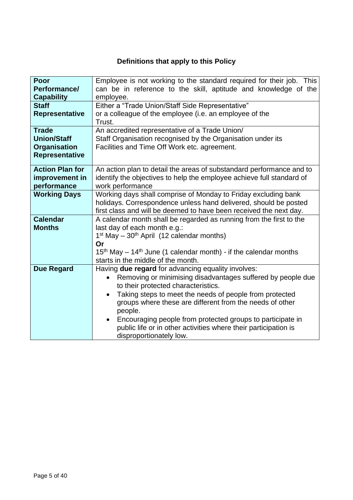### **Definitions that apply to this Policy**

| Poor<br>Performance/<br><b>Capability</b>                                          | Employee is not working to the standard required for their job. This<br>can be in reference to the skill, aptitude and knowledge of the<br>employee.                                                                                                                                                                                                                                                                                                                |
|------------------------------------------------------------------------------------|---------------------------------------------------------------------------------------------------------------------------------------------------------------------------------------------------------------------------------------------------------------------------------------------------------------------------------------------------------------------------------------------------------------------------------------------------------------------|
| <b>Staff</b><br>Representative                                                     | Either a "Trade Union/Staff Side Representative"<br>or a colleague of the employee (i.e. an employee of the<br>Trust.                                                                                                                                                                                                                                                                                                                                               |
| <b>Trade</b><br><b>Union/Staff</b><br><b>Organisation</b><br><b>Representative</b> | An accredited representative of a Trade Union/<br>Staff Organisation recognised by the Organisation under its<br>Facilities and Time Off Work etc. agreement.                                                                                                                                                                                                                                                                                                       |
| <b>Action Plan for</b><br>improvement in<br>performance                            | An action plan to detail the areas of substandard performance and to<br>identify the objectives to help the employee achieve full standard of<br>work performance                                                                                                                                                                                                                                                                                                   |
| <b>Working Days</b>                                                                | Working days shall comprise of Monday to Friday excluding bank<br>holidays. Correspondence unless hand delivered, should be posted<br>first class and will be deemed to have been received the next day.                                                                                                                                                                                                                                                            |
| <b>Calendar</b><br><b>Months</b>                                                   | A calendar month shall be regarded as running from the first to the<br>last day of each month e.g.:<br>$1st$ May – $30th$ April (12 calendar months)<br>Or<br>$15th$ May – 14 <sup>th</sup> June (1 calendar month) - if the calendar months<br>starts in the middle of the month.                                                                                                                                                                                  |
| <b>Due Regard</b>                                                                  | Having due regard for advancing equality involves:<br>Removing or minimising disadvantages suffered by people due<br>to their protected characteristics.<br>Taking steps to meet the needs of people from protected<br>$\bullet$<br>groups where these are different from the needs of other<br>people.<br>Encouraging people from protected groups to participate in<br>public life or in other activities where their participation is<br>disproportionately low. |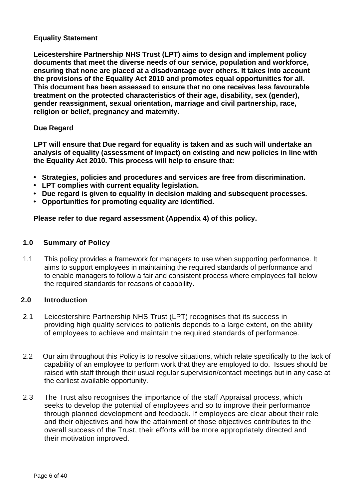#### **Equality Statement**

**Leicestershire Partnership NHS Trust (LPT) aims to design and implement policy documents that meet the diverse needs of our service, population and workforce, ensuring that none are placed at a disadvantage over others. It takes into account the provisions of the Equality Act 2010 and promotes equal opportunities for all. This document has been assessed to ensure that no one receives less favourable treatment on the protected characteristics of their age, disability, sex (gender), gender reassignment, sexual orientation, marriage and civil partnership, race, religion or belief, pregnancy and maternity.**

#### **Due Regard**

**LPT will ensure that Due regard for equality is taken and as such will undertake an analysis of equality (assessment of impact) on existing and new policies in line with the Equality Act 2010. This process will help to ensure that:** 

- **• Strategies, policies and procedures and services are free from discrimination.**
- **• LPT complies with current equality legislation.**
- **• Due regard is given to equality in decision making and subsequent processes.**
- **• Opportunities for promoting equality are identified.**

**Please refer to due regard assessment (Appendix 4) of this policy.**

#### **1.0 Summary of Policy**

1.1 This policy provides a framework for managers to use when supporting performance. It aims to support employees in maintaining the required standards of performance and to enable managers to follow a fair and consistent process where employees fall below the required standards for reasons of capability.

#### **2.0 Introduction**

- 2.1 Leicestershire Partnership NHS Trust (LPT) recognises that its success in providing high quality services to patients depends to a large extent, on the ability of employees to achieve and maintain the required standards of performance.
- 2.2 Our aim throughout this Policy is to resolve situations, which relate specifically to the lack of capability of an employee to perform work that they are employed to do. Issues should be raised with staff through their usual regular supervision/contact meetings but in any case at the earliest available opportunity.
- 2.3 The Trust also recognises the importance of the staff Appraisal process, which seeks to develop the potential of employees and so to improve their performance through planned development and feedback. If employees are clear about their role and their objectives and how the attainment of those objectives contributes to the overall success of the Trust, their efforts will be more appropriately directed and their motivation improved.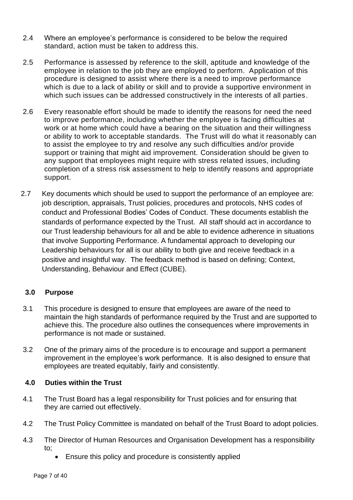- 2.4 Where an employee's performance is considered to be below the required standard, action must be taken to address this.
- 2.5 Performance is assessed by reference to the skill, aptitude and knowledge of the employee in relation to the job they are employed to perform. Application of this procedure is designed to assist where there is a need to improve performance which is due to a lack of ability or skill and to provide a supportive environment in which such issues can be addressed constructively in the interests of all parties.
- 2.6 Every reasonable effort should be made to identify the reasons for need the need to improve performance, including whether the employee is facing difficulties at work or at home which could have a bearing on the situation and their willingness or ability to work to acceptable standards. The Trust will do what it reasonably can to assist the employee to try and resolve any such difficulties and/or provide support or training that might aid improvement. Consideration should be given to any support that employees might require with stress related issues, including completion of a stress risk assessment to help to identify reasons and appropriate support.
- 2.7 Key documents which should be used to support the performance of an employee are: job description, appraisals, Trust policies, procedures and protocols, NHS codes of conduct and Professional Bodies' Codes of Conduct. These documents establish the standards of performance expected by the Trust. All staff should act in accordance to our Trust leadership behaviours for all and be able to evidence adherence in situations that involve Supporting Performance. A fundamental approach to developing our Leadership behaviours for all is our ability to both give and receive feedback in a positive and insightful way. The feedback method is based on defining; Context, Understanding, Behaviour and Effect (CUBE).

#### **3.0 Purpose**

- 3.1 This procedure is designed to ensure that employees are aware of the need to maintain the high standards of performance required by the Trust and are supported to achieve this. The procedure also outlines the consequences where improvements in performance is not made or sustained.
- 3.2 One of the primary aims of the procedure is to encourage and support a permanent improvement in the employee's work performance. It is also designed to ensure that employees are treated equitably, fairly and consistently.

#### **4.0 Duties within the Trust**

- 4.1 The Trust Board has a legal responsibility for Trust policies and for ensuring that they are carried out effectively.
- 4.2 The Trust Policy Committee is mandated on behalf of the Trust Board to adopt policies.
- 4.3 The Director of Human Resources and Organisation Development has a responsibility to;
	- Ensure this policy and procedure is consistently applied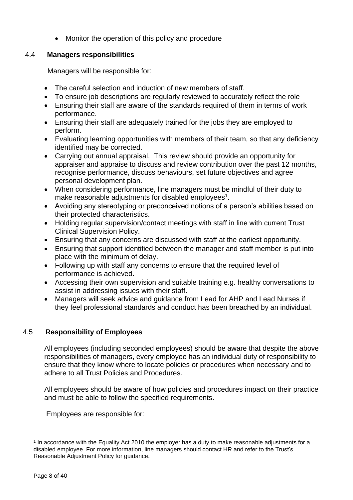• Monitor the operation of this policy and procedure

#### 4.4 **Managers responsibilities**

Managers will be responsible for:

- The careful selection and induction of new members of staff.
- To ensure job descriptions are regularly reviewed to accurately reflect the role
- Ensuring their staff are aware of the standards required of them in terms of work performance.
- Ensuring their staff are adequately trained for the jobs they are employed to perform.
- Evaluating learning opportunities with members of their team, so that any deficiency identified may be corrected.
- Carrying out annual appraisal. This review should provide an opportunity for appraiser and appraise to discuss and review contribution over the past 12 months, recognise performance, discuss behaviours, set future objectives and agree personal development plan.
- When considering performance, line managers must be mindful of their duty to make reasonable adjustments for disabled employees<sup>1</sup>.
- Avoiding any stereotyping or preconceived notions of a person's abilities based on their protected characteristics.
- Holding regular supervision/contact meetings with staff in line with current Trust Clinical Supervision Policy.
- Ensuring that any concerns are discussed with staff at the earliest opportunity.
- Ensuring that support identified between the manager and staff member is put into place with the minimum of delay.
- Following up with staff any concerns to ensure that the required level of performance is achieved.
- Accessing their own supervision and suitable training e.g. healthy conversations to assist in addressing issues with their staff.
- Managers will seek advice and guidance from Lead for AHP and Lead Nurses if they feel professional standards and conduct has been breached by an individual.

#### 4.5 **Responsibility of Employees**

All employees (including seconded employees) should be aware that despite the above responsibilities of managers, every employee has an individual duty of responsibility to ensure that they know where to locate policies or procedures when necessary and to adhere to all Trust Policies and Procedures.

All employees should be aware of how policies and procedures impact on their practice and must be able to follow the specified requirements.

Employees are responsible for:

<sup>1</sup> In accordance with the Equality Act 2010 the employer has a duty to make reasonable adjustments for a disabled employee. For more information, line managers should contact HR and refer to the Trust's Reasonable Adjustment Policy for guidance.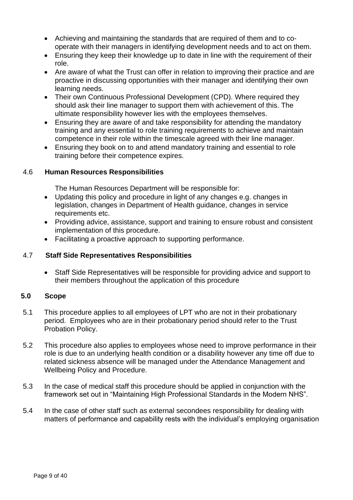- Achieving and maintaining the standards that are required of them and to cooperate with their managers in identifying development needs and to act on them.
- Ensuring they keep their knowledge up to date in line with the requirement of their role.
- Are aware of what the Trust can offer in relation to improving their practice and are proactive in discussing opportunities with their manager and identifying their own learning needs.
- Their own Continuous Professional Development (CPD). Where required they should ask their line manager to support them with achievement of this. The ultimate responsibility however lies with the employees themselves.
- Ensuring they are aware of and take responsibility for attending the mandatory training and any essential to role training requirements to achieve and maintain competence in their role within the timescale agreed with their line manager.
- Ensuring they book on to and attend mandatory training and essential to role training before their competence expires.

#### 4.6 **Human Resources Responsibilities**

The Human Resources Department will be responsible for:

- Updating this policy and procedure in light of any changes e.g. changes in legislation, changes in Department of Health guidance, changes in service requirements etc.
- Providing advice, assistance, support and training to ensure robust and consistent implementation of this procedure.
- Facilitating a proactive approach to supporting performance.

#### 4.7 **Staff Side Representatives Responsibilities**

• Staff Side Representatives will be responsible for providing advice and support to their members throughout the application of this procedure

#### **5.0 Scope**

- 5.1 This procedure applies to all employees of LPT who are not in their probationary period. Employees who are in their probationary period should refer to the Trust Probation Policy.
- 5.2 This procedure also applies to employees whose need to improve performance in their role is due to an underlying health condition or a disability however any time off due to related sickness absence will be managed under the Attendance Management and Wellbeing Policy and Procedure.
- 5.3 In the case of medical staff this procedure should be applied in conjunction with the framework set out in "Maintaining High Professional Standards in the Modern NHS".
- 5.4 In the case of other staff such as external secondees responsibility for dealing with matters of performance and capability rests with the individual's employing organisation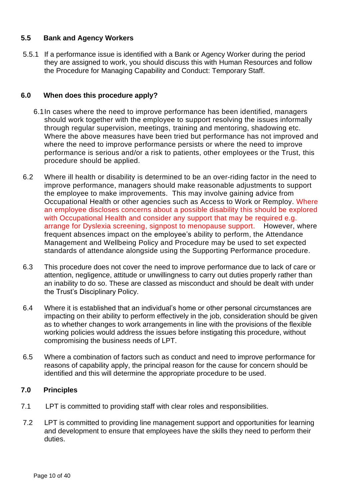#### **5.5 Bank and Agency Workers**

5.5.1 If a performance issue is identified with a Bank or Agency Worker during the period they are assigned to work, you should discuss this with Human Resources and follow the Procedure for Managing Capability and Conduct: Temporary Staff.

#### **6.0 When does this procedure apply?**

- 6.1In cases where the need to improve performance has been identified, managers should work together with the employee to support resolving the issues informally through regular supervision, meetings, training and mentoring, shadowing etc. Where the above measures have been tried but performance has not improved and where the need to improve performance persists or where the need to improve performance is serious and/or a risk to patients, other employees or the Trust, this procedure should be applied.
- 6.2 Where ill health or disability is determined to be an over-riding factor in the need to improve performance, managers should make reasonable adjustments to support the employee to make improvements. This may involve gaining advice from Occupational Health or other agencies such as Access to Work or Remploy. Where an employee discloses concerns about a possible disability this should be explored with Occupational Health and consider any support that may be required e.g. arrange for Dyslexia screening, signpost to menopause support. However, where frequent absences impact on the employee's ability to perform, the Attendance Management and Wellbeing Policy and Procedure may be used to set expected standards of attendance alongside using the Supporting Performance procedure.
- 6.3 This procedure does not cover the need to improve performance due to lack of care or attention, negligence, attitude or unwillingness to carry out duties properly rather than an inability to do so. These are classed as misconduct and should be dealt with under the Trust's Disciplinary Policy.
- 6.4 Where it is established that an individual's home or other personal circumstances are impacting on their ability to perform effectively in the job, consideration should be given as to whether changes to work arrangements in line with the provisions of the flexible working policies would address the issues before instigating this procedure, without compromising the business needs of LPT.
- 6.5 Where a combination of factors such as conduct and need to improve performance for reasons of capability apply, the principal reason for the cause for concern should be identified and this will determine the appropriate procedure to be used.

#### **7.0 Principles**

- 7.1 LPT is committed to providing staff with clear roles and responsibilities.
- 7.2 LPT is committed to providing line management support and opportunities for learning and development to ensure that employees have the skills they need to perform their duties.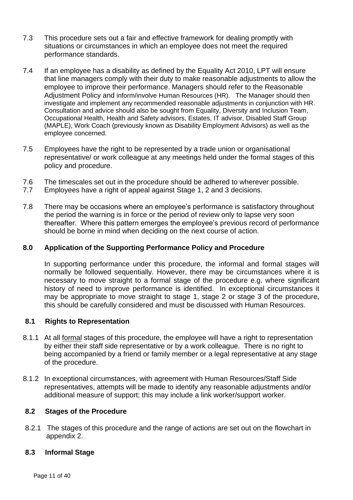- 7.3 This procedure sets out a fair and effective framework for dealing promptly with situations or circumstances in which an employee does not meet the required performance standards.
- 7.4 If an employee has a disability as defined by the Equality Act 2010, LPT will ensure that line managers comply with their duty to make reasonable adjustments to allow the employee to improve their performance. Managers should refer to the Reasonable Adjustment Policy and inform/involve Human Resources (HR). The Manager should then investigate and implement any recommended reasonable adjustments in conjunction with HR. Consultation and advice should also be sought from Equality, Diversity and Inclusion Team, Occupational Health, Health and Safety advisors, Estates, IT advisor, Disabled Staff Group (MAPLE), Work Coach (previously known as Disability Employment Advisors) as well as the employee concerned.
- 7.5 Employees have the right to be represented by a trade union or organisational representative/ or work colleague at any meetings held under the formal stages of this policy and procedure.
- 7.6 The timescales set out in the procedure should be adhered to wherever possible.
- 7.7 Employees have a right of appeal against Stage 1, 2 and 3 decisions.
- 7.8 There may be occasions where an employee's performance is satisfactory throughout the period the warning is in force or the period of review only to lapse very soon thereafter. Where this pattern emerges the employee's previous record of performance should be borne in mind when deciding on the next course of action.

#### **8.0 Application of the Supporting Performance Policy and Procedure**

In supporting performance under this procedure, the informal and formal stages will normally be followed sequentially. However, there may be circumstances where it is necessary to move straight to a formal stage of the procedure e.g. where significant history of need to improve performance is identified. In exceptional circumstances it may be appropriate to move straight to stage 1, stage 2 or stage 3 of the procedure, this should be carefully considered and must be discussed with Human Resources.

#### **8.1 Rights to Representation**

- 8.1.1 At all formal stages of this procedure, the employee will have a right to representation by either their staff side representative or by a work colleague. There is no right to being accompanied by a friend or family member or a legal representative at any stage of the procedure.
- 8.1.2 In exceptional circumstances, with agreement with Human Resources/Staff Side representatives, attempts will be made to identify any reasonable adjustments and/or additional measure of support; this may include a link worker/support worker.

#### **8.2 Stages of the Procedure**

8.2.1 The stages of this procedure and the range of actions are set out on the flowchart in appendix 2.

#### **8.3 Informal Stage**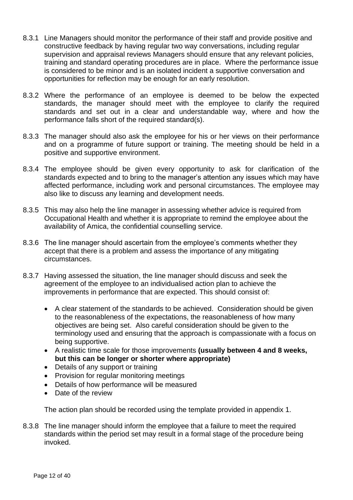- 8.3.1 Line Managers should monitor the performance of their staff and provide positive and constructive feedback by having regular two way conversations, including regular supervision and appraisal reviews Managers should ensure that any relevant policies, training and standard operating procedures are in place. Where the performance issue is considered to be minor and is an isolated incident a supportive conversation and opportunities for reflection may be enough for an early resolution.
- 8.3.2 Where the performance of an employee is deemed to be below the expected standards, the manager should meet with the employee to clarify the required standards and set out in a clear and understandable way, where and how the performance falls short of the required standard(s).
- 8.3.3 The manager should also ask the employee for his or her views on their performance and on a programme of future support or training. The meeting should be held in a positive and supportive environment.
- 8.3.4 The employee should be given every opportunity to ask for clarification of the standards expected and to bring to the manager's attention any issues which may have affected performance, including work and personal circumstances. The employee may also like to discuss any learning and development needs.
- 8.3.5 This may also help the line manager in assessing whether advice is required from Occupational Health and whether it is appropriate to remind the employee about the availability of Amica, the confidential counselling service.
- 8.3.6 The line manager should ascertain from the employee's comments whether they accept that there is a problem and assess the importance of any mitigating circumstances.
- 8.3.7 Having assessed the situation, the line manager should discuss and seek the agreement of the employee to an individualised action plan to achieve the improvements in performance that are expected. This should consist of:
	- A clear statement of the standards to be achieved. Consideration should be given to the reasonableness of the expectations, the reasonableness of how many objectives are being set. Also careful consideration should be given to the terminology used and ensuring that the approach is compassionate with a focus on being supportive.
	- A realistic time scale for those improvements **(usually between 4 and 8 weeks, but this can be longer or shorter where appropriate)**
	- Details of any support or training
	- Provision for regular monitoring meetings
	- Details of how performance will be measured
	- Date of the review

The action plan should be recorded using the template provided in appendix 1.

8.3.8 The line manager should inform the employee that a failure to meet the required standards within the period set may result in a formal stage of the procedure being invoked.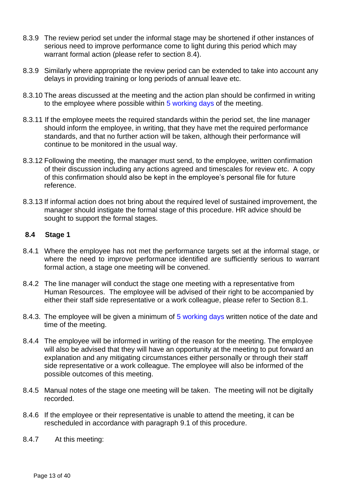- 8.3.9 The review period set under the informal stage may be shortened if other instances of serious need to improve performance come to light during this period which may warrant formal action (please refer to section 8.4).
- 8.3.9 Similarly where appropriate the review period can be extended to take into account any delays in providing training or long periods of annual leave etc.
- 8.3.10 The areas discussed at the meeting and the action plan should be confirmed in writing to the employee where possible within 5 working days of the meeting.
- 8.3.11 If the employee meets the required standards within the period set, the line manager should inform the employee, in writing, that they have met the required performance standards, and that no further action will be taken, although their performance will continue to be monitored in the usual way.
- 8.3.12 Following the meeting, the manager must send, to the employee, written confirmation of their discussion including any actions agreed and timescales for review etc. A copy of this confirmation should also be kept in the employee's personal file for future reference.
- 8.3.13 If informal action does not bring about the required level of sustained improvement, the manager should instigate the formal stage of this procedure. HR advice should be sought to support the formal stages.

#### **8.4 Stage 1**

- 8.4.1 Where the employee has not met the performance targets set at the informal stage, or where the need to improve performance identified are sufficiently serious to warrant formal action, a stage one meeting will be convened.
- 8.4.2 The line manager will conduct the stage one meeting with a representative from Human Resources. The employee will be advised of their right to be accompanied by either their staff side representative or a work colleague, please refer to Section 8.1.
- 8.4.3. The employee will be given a minimum of 5 working days written notice of the date and time of the meeting.
- 8.4.4 The employee will be informed in writing of the reason for the meeting. The employee will also be advised that they will have an opportunity at the meeting to put forward an explanation and any mitigating circumstances either personally or through their staff side representative or a work colleague. The employee will also be informed of the possible outcomes of this meeting.
- 8.4.5 Manual notes of the stage one meeting will be taken. The meeting will not be digitally recorded.
- 8.4.6 If the employee or their representative is unable to attend the meeting, it can be rescheduled in accordance with paragraph 9.1 of this procedure.
- 8.4.7 At this meeting: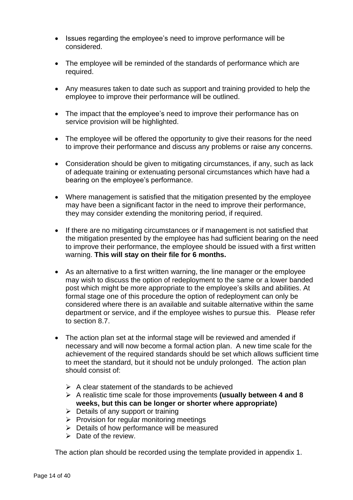- Issues regarding the employee's need to improve performance will be considered.
- The employee will be reminded of the standards of performance which are required.
- Any measures taken to date such as support and training provided to help the employee to improve their performance will be outlined.
- The impact that the employee's need to improve their performance has on service provision will be highlighted.
- The employee will be offered the opportunity to give their reasons for the need to improve their performance and discuss any problems or raise any concerns.
- Consideration should be given to mitigating circumstances, if any, such as lack of adequate training or extenuating personal circumstances which have had a bearing on the employee's performance.
- Where management is satisfied that the mitigation presented by the employee may have been a significant factor in the need to improve their performance, they may consider extending the monitoring period, if required.
- If there are no mitigating circumstances or if management is not satisfied that the mitigation presented by the employee has had sufficient bearing on the need to improve their performance, the employee should be issued with a first written warning. **This will stay on their file for 6 months.**
- As an alternative to a first written warning, the line manager or the employee may wish to discuss the option of redeployment to the same or a lower banded post which might be more appropriate to the employee's skills and abilities. At formal stage one of this procedure the option of redeployment can only be considered where there is an available and suitable alternative within the same department or service, and if the employee wishes to pursue this. Please refer to section 8.7.
- The action plan set at the informal stage will be reviewed and amended if necessary and will now become a formal action plan. A new time scale for the achievement of the required standards should be set which allows sufficient time to meet the standard, but it should not be unduly prolonged. The action plan should consist of:
	- $\triangleright$  A clear statement of the standards to be achieved
	- ➢ A realistic time scale for those improvements **(usually between 4 and 8 weeks, but this can be longer or shorter where appropriate)**
	- $\triangleright$  Details of any support or training
	- $\triangleright$  Provision for regular monitoring meetings
	- $\triangleright$  Details of how performance will be measured
	- $\triangleright$  Date of the review.

The action plan should be recorded using the template provided in appendix 1.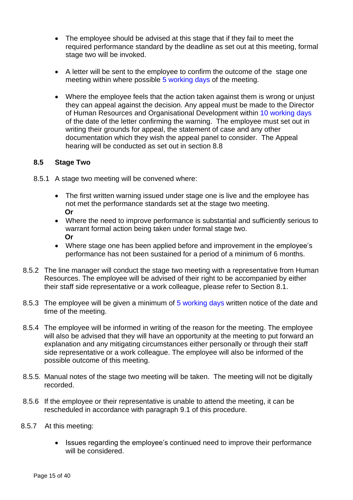- The employee should be advised at this stage that if they fail to meet the required performance standard by the deadline as set out at this meeting, formal stage two will be invoked.
- A letter will be sent to the employee to confirm the outcome of the stage one meeting within where possible 5 working days of the meeting.
- Where the employee feels that the action taken against them is wrong or unjust they can appeal against the decision. Any appeal must be made to the Director of Human Resources and Organisational Development within 10 working days of the date of the letter confirming the warning. The employee must set out in writing their grounds for appeal, the statement of case and any other documentation which they wish the appeal panel to consider. The Appeal hearing will be conducted as set out in section 8.8

#### **8.5 Stage Two**

- 8.5.1 A stage two meeting will be convened where:
	- The first written warning issued under stage one is live and the employee has not met the performance standards set at the stage two meeting.  **Or**
	- Where the need to improve performance is substantial and sufficiently serious to warrant formal action being taken under formal stage two.  **Or**
	- Where stage one has been applied before and improvement in the employee's performance has not been sustained for a period of a minimum of 6 months.
- 8.5.2 The line manager will conduct the stage two meeting with a representative from Human Resources. The employee will be advised of their right to be accompanied by either their staff side representative or a work colleague, please refer to Section 8.1.
- 8.5.3 The employee will be given a minimum of 5 working days written notice of the date and time of the meeting.
- 8.5.4 The employee will be informed in writing of the reason for the meeting. The employee will also be advised that they will have an opportunity at the meeting to put forward an explanation and any mitigating circumstances either personally or through their staff side representative or a work colleague. The employee will also be informed of the possible outcome of this meeting.
- 8.5.5. Manual notes of the stage two meeting will be taken. The meeting will not be digitally recorded.
- 8.5.6 If the employee or their representative is unable to attend the meeting, it can be rescheduled in accordance with paragraph 9.1 of this procedure.
- 8.5.7 At this meeting:
	- Issues regarding the employee's continued need to improve their performance will be considered.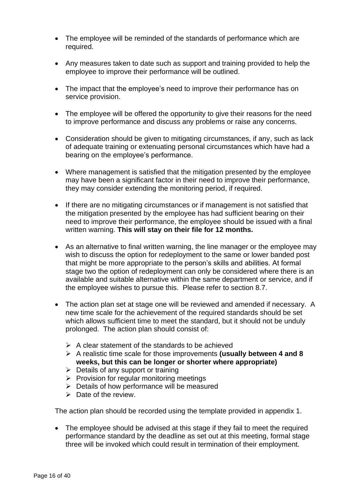- The employee will be reminded of the standards of performance which are required.
- Any measures taken to date such as support and training provided to help the employee to improve their performance will be outlined.
- The impact that the employee's need to improve their performance has on service provision.
- The employee will be offered the opportunity to give their reasons for the need to improve performance and discuss any problems or raise any concerns.
- Consideration should be given to mitigating circumstances, if any, such as lack of adequate training or extenuating personal circumstances which have had a bearing on the employee's performance.
- Where management is satisfied that the mitigation presented by the employee may have been a significant factor in their need to improve their performance, they may consider extending the monitoring period, if required.
- If there are no mitigating circumstances or if management is not satisfied that the mitigation presented by the employee has had sufficient bearing on their need to improve their performance, the employee should be issued with a final written warning. **This will stay on their file for 12 months.**
- As an alternative to final written warning, the line manager or the employee may wish to discuss the option for redeployment to the same or lower banded post that might be more appropriate to the person's skills and abilities. At formal stage two the option of redeployment can only be considered where there is an available and suitable alternative within the same department or service, and if the employee wishes to pursue this. Please refer to section 8.7.
- The action plan set at stage one will be reviewed and amended if necessary. A new time scale for the achievement of the required standards should be set which allows sufficient time to meet the standard, but it should not be unduly prolonged. The action plan should consist of:
	- $\triangleright$  A clear statement of the standards to be achieved
	- ➢ A realistic time scale for those improvements **(usually between 4 and 8 weeks, but this can be longer or shorter where appropriate)**
	- $\triangleright$  Details of any support or training
	- $\triangleright$  Provision for regular monitoring meetings
	- ➢ Details of how performance will be measured
	- ➢ Date of the review.

The action plan should be recorded using the template provided in appendix 1.

• The employee should be advised at this stage if they fail to meet the required performance standard by the deadline as set out at this meeting, formal stage three will be invoked which could result in termination of their employment.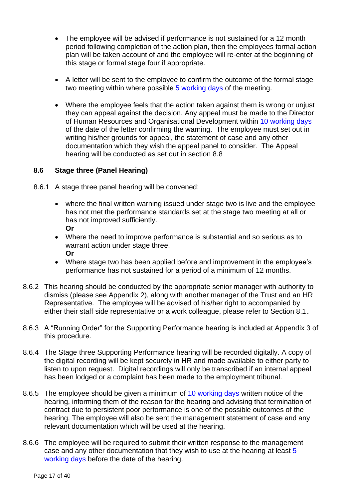- The employee will be advised if performance is not sustained for a 12 month period following completion of the action plan, then the employees formal action plan will be taken account of and the employee will re-enter at the beginning of this stage or formal stage four if appropriate.
- A letter will be sent to the employee to confirm the outcome of the formal stage two meeting within where possible 5 working days of the meeting.
- Where the employee feels that the action taken against them is wrong or unjust they can appeal against the decision. Any appeal must be made to the Director of Human Resources and Organisational Development within 10 working days of the date of the letter confirming the warning. The employee must set out in writing his/her grounds for appeal, the statement of case and any other documentation which they wish the appeal panel to consider. The Appeal hearing will be conducted as set out in section 8.8

#### **8.6 Stage three (Panel Hearing)**

- 8.6.1 A stage three panel hearing will be convened:
	- where the final written warning issued under stage two is live and the employee has not met the performance standards set at the stage two meeting at all or has not improved sufficiently. **Or**
	- Where the need to improve performance is substantial and so serious as to warrant action under stage three. **Or**
	- Where stage two has been applied before and improvement in the employee's performance has not sustained for a period of a minimum of 12 months.
- 8.6.2 This hearing should be conducted by the appropriate senior manager with authority to dismiss (please see Appendix 2), along with another manager of the Trust and an HR Representative. The employee will be advised of his/her right to accompanied by either their staff side representative or a work colleague, please refer to Section 8.1.
- 8.6.3 A "Running Order" for the Supporting Performance hearing is included at Appendix 3 of this procedure.
- 8.6.4 The Stage three Supporting Performance hearing will be recorded digitally. A copy of the digital recording will be kept securely in HR and made available to either party to listen to upon request. Digital recordings will only be transcribed if an internal appeal has been lodged or a complaint has been made to the employment tribunal.
- 8.6.5 The employee should be given a minimum of 10 working days written notice of the hearing, informing them of the reason for the hearing and advising that termination of contract due to persistent poor performance is one of the possible outcomes of the hearing. The employee will also be sent the management statement of case and any relevant documentation which will be used at the hearing.
- 8.6.6 The employee will be required to submit their written response to the management case and any other documentation that they wish to use at the hearing at least 5 working days before the date of the hearing.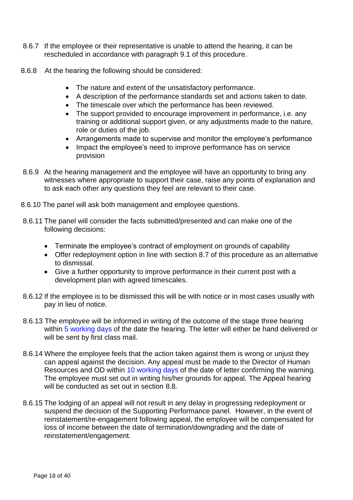- 8.6.7 If the employee or their representative is unable to attend the hearing, it can be rescheduled in accordance with paragraph 9.1 of this procedure.
- 8.6.8 At the hearing the following should be considered:
	- The nature and extent of the unsatisfactory performance.
	- A description of the performance standards set and actions taken to date.
	- The timescale over which the performance has been reviewed.
	- The support provided to encourage improvement in performance, i.e. any training or additional support given, or any adjustments made to the nature, role or duties of the job.
	- Arrangements made to supervise and monitor the employee's performance
	- Impact the employee's need to improve performance has on service provision
- 8.6.9 At the hearing management and the employee will have an opportunity to bring any witnesses where appropriate to support their case, raise any points of explanation and to ask each other any questions they feel are relevant to their case.
- 8.6.10 The panel will ask both management and employee questions.
- 8.6.11 The panel will consider the facts submitted/presented and can make one of the following decisions:
	- Terminate the employee's contract of employment on grounds of capability
	- Offer redeployment option in line with section 8.7 of this procedure as an alternative to dismissal.
	- Give a further opportunity to improve performance in their current post with a development plan with agreed timescales.
- 8.6.12 If the employee is to be dismissed this will be with notice or in most cases usually with pay in lieu of notice.
- 8.6.13 The employee will be informed in writing of the outcome of the stage three hearing within 5 working days of the date the hearing. The letter will either be hand delivered or will be sent by first class mail.
- 8.6.14 Where the employee feels that the action taken against them is wrong or unjust they can appeal against the decision. Any appeal must be made to the Director of Human Resources and OD within 10 working days of the date of letter confirming the warning. The employee must set out in writing his/her grounds for appeal. The Appeal hearing will be conducted as set out in section 8.8.
- 8.6.15 The lodging of an appeal will not result in any delay in progressing redeployment or suspend the decision of the Supporting Performance panel. However, in the event of reinstatement/re-engagement following appeal, the employee will be compensated for loss of income between the date of termination/downgrading and the date of reinstatement/engagement.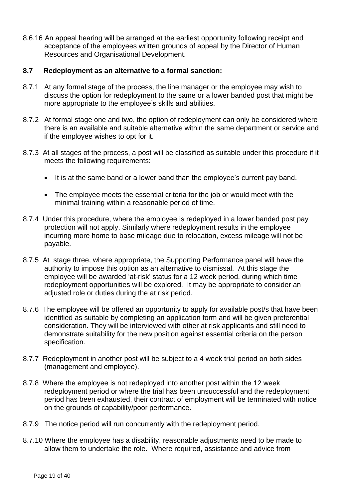8.6.16 An appeal hearing will be arranged at the earliest opportunity following receipt and acceptance of the employees written grounds of appeal by the Director of Human Resources and Organisational Development.

#### **8.7 Redeployment as an alternative to a formal sanction:**

- 8.7.1 At any formal stage of the process, the line manager or the employee may wish to discuss the option for redeployment to the same or a lower banded post that might be more appropriate to the employee's skills and abilities.
- 8.7.2 At formal stage one and two, the option of redeployment can only be considered where there is an available and suitable alternative within the same department or service and if the employee wishes to opt for it.
- 8.7.3 At all stages of the process, a post will be classified as suitable under this procedure if it meets the following requirements:
	- It is at the same band or a lower band than the employee's current pay band.
	- The employee meets the essential criteria for the job or would meet with the minimal training within a reasonable period of time.
- 8.7.4 Under this procedure, where the employee is redeployed in a lower banded post pay protection will not apply. Similarly where redeployment results in the employee incurring more home to base mileage due to relocation, excess mileage will not be payable.
- 8.7.5 At stage three, where appropriate, the Supporting Performance panel will have the authority to impose this option as an alternative to dismissal. At this stage the employee will be awarded 'at-risk' status for a 12 week period, during which time redeployment opportunities will be explored. It may be appropriate to consider an adjusted role or duties during the at risk period.
- 8.7.6 The employee will be offered an opportunity to apply for available post/s that have been identified as suitable by completing an application form and will be given preferential consideration. They will be interviewed with other at risk applicants and still need to demonstrate suitability for the new position against essential criteria on the person specification.
- 8.7.7 Redeployment in another post will be subject to a 4 week trial period on both sides (management and employee).
- 8.7.8 Where the employee is not redeployed into another post within the 12 week redeployment period or where the trial has been unsuccessful and the redeployment period has been exhausted, their contract of employment will be terminated with notice on the grounds of capability/poor performance.
- 8.7.9 The notice period will run concurrently with the redeployment period.
- 8.7.10 Where the employee has a disability, reasonable adjustments need to be made to allow them to undertake the role. Where required, assistance and advice from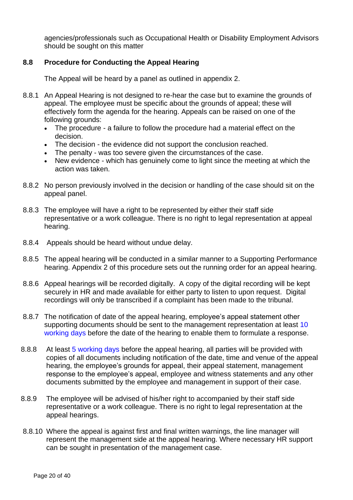agencies/professionals such as Occupational Health or Disability Employment Advisors should be sought on this matter

#### **8.8 Procedure for Conducting the Appeal Hearing**

The Appeal will be heard by a panel as outlined in appendix 2.

- 8.8.1 An Appeal Hearing is not designed to re-hear the case but to examine the grounds of appeal. The employee must be specific about the grounds of appeal; these will effectively form the agenda for the hearing. Appeals can be raised on one of the following grounds:
	- The procedure a failure to follow the procedure had a material effect on the decision.
	- The decision the evidence did not support the conclusion reached.
	- The penalty was too severe given the circumstances of the case.
	- New evidence which has genuinely come to light since the meeting at which the action was taken.
- 8.8.2 No person previously involved in the decision or handling of the case should sit on the appeal panel.
- 8.8.3 The employee will have a right to be represented by either their staff side representative or a work colleague. There is no right to legal representation at appeal hearing.
- 8.8.4 Appeals should be heard without undue delay.
- 8.8.5 The appeal hearing will be conducted in a similar manner to a Supporting Performance hearing. Appendix 2 of this procedure sets out the running order for an appeal hearing.
- 8.8.6 Appeal hearings will be recorded digitally. A copy of the digital recording will be kept securely in HR and made available for either party to listen to upon request. Digital recordings will only be transcribed if a complaint has been made to the tribunal.
- 8.8.7 The notification of date of the appeal hearing, employee's appeal statement other supporting documents should be sent to the management representation at least 10 working days before the date of the hearing to enable them to formulate a response.
- 8.8.8 At least 5 working days before the appeal hearing, all parties will be provided with copies of all documents including notification of the date, time and venue of the appeal hearing, the employee's grounds for appeal, their appeal statement, management response to the employee's appeal, employee and witness statements and any other documents submitted by the employee and management in support of their case.
- 8.8.9 The employee will be advised of his/her right to accompanied by their staff side representative or a work colleague. There is no right to legal representation at the appeal hearings.
- 8.8.10 Where the appeal is against first and final written warnings, the line manager will represent the management side at the appeal hearing. Where necessary HR support can be sought in presentation of the management case.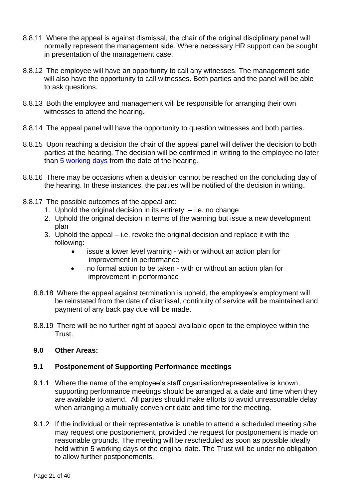- 8.8.11 Where the appeal is against dismissal, the chair of the original disciplinary panel will normally represent the management side. Where necessary HR support can be sought in presentation of the management case.
- 8.8.12 The employee will have an opportunity to call any witnesses. The management side will also have the opportunity to call witnesses. Both parties and the panel will be able to ask questions.
- 8.8.13 Both the employee and management will be responsible for arranging their own witnesses to attend the hearing.
- 8.8.14 The appeal panel will have the opportunity to question witnesses and both parties.
- 8.8.15 Upon reaching a decision the chair of the appeal panel will deliver the decision to both parties at the hearing. The decision will be confirmed in writing to the employee no later than 5 working days from the date of the hearing.
- 8.8.16 There may be occasions when a decision cannot be reached on the concluding day of the hearing. In these instances, the parties will be notified of the decision in writing.
- 8.8.17 The possible outcomes of the appeal are:
	- 1. Uphold the original decision in its entirety  $-$  i.e. no change
	- 2. Uphold the original decision in terms of the warning but issue a new development plan
	- 3. Uphold the appeal i.e. revoke the original decision and replace it with the following:
		- issue a lower level warning with or without an action plan for improvement in performance
		- no formal action to be taken with or without an action plan for improvement in performance
	- 8.8.18 Where the appeal against termination is upheld, the employee's employment will be reinstated from the date of dismissal, continuity of service will be maintained and payment of any back pay due will be made.
	- 8.8.19 There will be no further right of appeal available open to the employee within the Trust.

#### **9.0 Other Areas:**

#### **9.1 Postponement of Supporting Performance meetings**

- 9.1.1 Where the name of the employee's staff organisation/representative is known, supporting performance meetings should be arranged at a date and time when they are available to attend. All parties should make efforts to avoid unreasonable delay when arranging a mutually convenient date and time for the meeting.
- 9.1.2 If the individual or their representative is unable to attend a scheduled meeting s/he may request one postponement, provided the request for postponement is made on reasonable grounds. The meeting will be rescheduled as soon as possible ideally held within 5 working days of the original date. The Trust will be under no obligation to allow further postponements.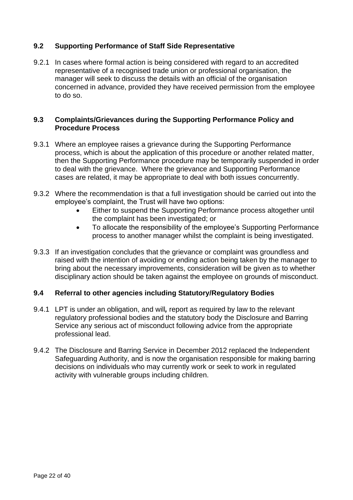#### **9.2 Supporting Performance of Staff Side Representative**

9.2.1 In cases where formal action is being considered with regard to an accredited representative of a recognised trade union or professional organisation, the manager will seek to discuss the details with an official of the organisation concerned in advance, provided they have received permission from the employee to do so.

#### **9.3 Complaints/Grievances during the Supporting Performance Policy and Procedure Process**

- 9.3.1 Where an employee raises a grievance during the Supporting Performance process, which is about the application of this procedure or another related matter, then the Supporting Performance procedure may be temporarily suspended in order to deal with the grievance. Where the grievance and Supporting Performance cases are related, it may be appropriate to deal with both issues concurrently.
- 9.3.2 Where the recommendation is that a full investigation should be carried out into the employee's complaint, the Trust will have two options:
	- Either to suspend the Supporting Performance process altogether until the complaint has been investigated; or
	- To allocate the responsibility of the employee's Supporting Performance process to another manager whilst the complaint is being investigated.
- 9.3.3 If an investigation concludes that the grievance or complaint was groundless and raised with the intention of avoiding or ending action being taken by the manager to bring about the necessary improvements, consideration will be given as to whether disciplinary action should be taken against the employee on grounds of misconduct.

#### **9.4 Referral to other agencies including Statutory/Regulatory Bodies**

- 9.4.1 LPT is under an obligation, and will*,* report as required by law to the relevant regulatory professional bodies and the statutory body the Disclosure and Barring Service any serious act of misconduct following advice from the appropriate professional lead.
- 9.4.2 The Disclosure and Barring Service in December 2012 replaced the Independent Safeguarding Authority, and is now the organisation responsible for making barring decisions on individuals who may currently work or seek to work in regulated activity with vulnerable groups including children.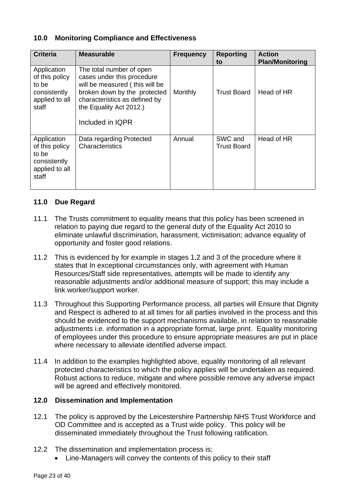#### **10.0 Monitoring Compliance and Effectiveness**

| <b>Criteria</b>                                                                   | <b>Measurable</b>                                                                                                                                                                                        | <b>Frequency</b> | <b>Reporting</b><br>to        | <b>Action</b><br><b>Plan/Monitoring</b> |
|-----------------------------------------------------------------------------------|----------------------------------------------------------------------------------------------------------------------------------------------------------------------------------------------------------|------------------|-------------------------------|-----------------------------------------|
| Application<br>of this policy<br>to be<br>consistently<br>applied to all<br>staff | The total number of open<br>cases under this procedure<br>will be measured (this will be<br>broken down by the protected<br>characteristics as defined by<br>the Equality Act 2012.)<br>Included in IQPR | Monthly          | <b>Trust Board</b>            | Head of HR                              |
| Application<br>of this policy<br>to be<br>consistently<br>applied to all<br>staff | Data regarding Protected<br>Characteristics                                                                                                                                                              | Annual           | SWC and<br><b>Trust Board</b> | Head of HR                              |

#### **11.0 Due Regard**

- 11.1 The Trusts commitment to equality means that this policy has been screened in relation to paying due regard to the general duty of the Equality Act 2010 to eliminate unlawful discrimination, harassment, victimisation; advance equality of opportunity and foster good relations.
- 11.2 This is evidenced by for example in stages 1,2 and 3 of the procedure where it states that In exceptional circumstances only, with agreement with Human Resources/Staff side representatives, attempts will be made to identify any reasonable adjustments and/or additional measure of support; this may include a link worker/support worker.
- 11.3 Throughout this Supporting Performance process, all parties will Ensure that Dignity and Respect is adhered to at all times for all parties involved in the process and this should be evidenced to the support mechanisms available, in relation to reasonable adjustments i.e. information in a appropriate format, large print. Equality monitoring of employees under this procedure to ensure appropriate measures are put in place where necessary to alleviate identified adverse impact.
- 11.4 In addition to the examples highlighted above, equality monitoring of all relevant protected characteristics to which the policy applies will be undertaken as required. Robust actions to reduce, mitigate and where possible remove any adverse impact will be agreed and effectively monitored.

#### **12.0 Dissemination and Implementation**

- 12.1 The policy is approved by the Leicestershire Partnership NHS Trust Workforce and OD Committee and is accepted as a Trust wide policy. This policy will be disseminated immediately throughout the Trust following ratification.
- 12.2 The dissemination and implementation process is:
	- Line-Managers will convey the contents of this policy to their staff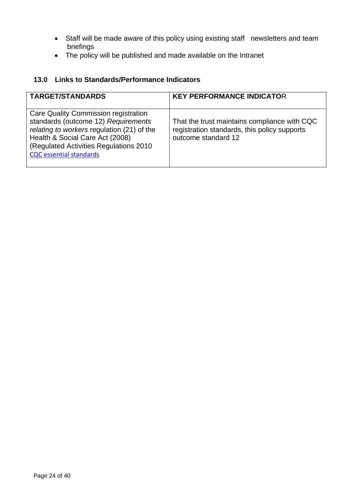- Staff will be made aware of this policy using existing staff newsletters and team briefings
- The policy will be published and made available on the Intranet

#### **13.0 Links to Standards/Performance Indicators**

| <b>TARGET/STANDARDS</b>                                                                                                                                                                                                                   | <b>KEY PERFORMANCE INDICATOR</b>                                                                                    |
|-------------------------------------------------------------------------------------------------------------------------------------------------------------------------------------------------------------------------------------------|---------------------------------------------------------------------------------------------------------------------|
| Care Quality Commission registration<br>standards (outcome 12) Requirements<br>relating to workers regulation (21) of the<br>Health & Social Care Act (2008)<br>(Regulated Activities Regulations 2010)<br><b>CQC</b> essential standards | That the trust maintains compliance with CQC<br>registration standards, this policy supports<br>outcome standard 12 |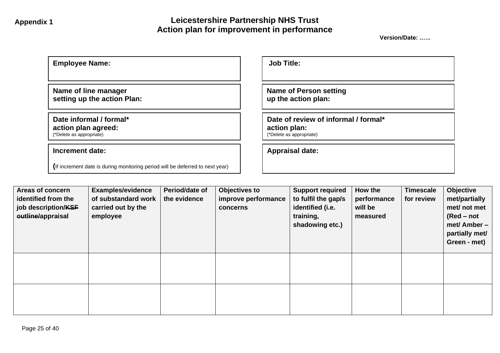#### **Appendix 1 Leicestershire Partnership NHS Trust Action plan for improvement in performance**

**Version/Date: .…..**

| <b>Employee Name:</b>                                                         | <b>Job Title:</b>                                                                |
|-------------------------------------------------------------------------------|----------------------------------------------------------------------------------|
| Name of line manager<br>setting up the action Plan:                           | <b>Name of Person setting</b><br>up the action plan:                             |
| Date informal / formal*<br>action plan agreed:<br>(*Delete as appropriate)    | Date of review of informal / formal*<br>action plan:<br>(*Delete as appropriate) |
| <b>Increment date:</b>                                                        | <b>Appraisal date:</b>                                                           |
| (If increment date is during monitoring period will be deferred to next year) |                                                                                  |

| Areas of concern<br>identified from the<br>job description/KSF<br>outline/appraisal | <b>Examples/evidence</b><br>of substandard work<br>carried out by the<br>employee | Period/date of<br>the evidence | <b>Objectives to</b><br>improve performance<br>concerns | <b>Support required</b><br>to fulfil the gap/s<br>identified (i.e.<br>training,<br>shadowing etc.) | How the<br>performance<br>will be<br>measured | <b>Timescale</b><br>for review | Objective<br>met/partially<br>met/ not met<br>$(Red - not$<br>met/ Amber -<br>partially met/<br>Green - met) |
|-------------------------------------------------------------------------------------|-----------------------------------------------------------------------------------|--------------------------------|---------------------------------------------------------|----------------------------------------------------------------------------------------------------|-----------------------------------------------|--------------------------------|--------------------------------------------------------------------------------------------------------------|
|                                                                                     |                                                                                   |                                |                                                         |                                                                                                    |                                               |                                |                                                                                                              |
|                                                                                     |                                                                                   |                                |                                                         |                                                                                                    |                                               |                                |                                                                                                              |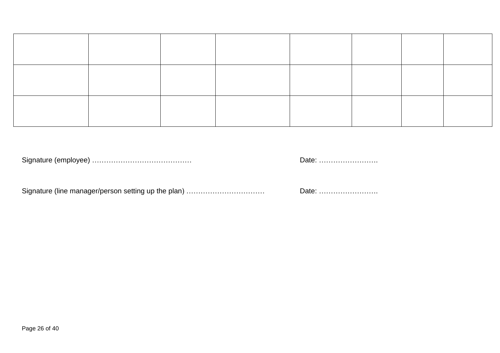Signature (employee) …………………………………… Date: …………………….

Signature (line manager/person setting up the plan) …………………………………………………………………………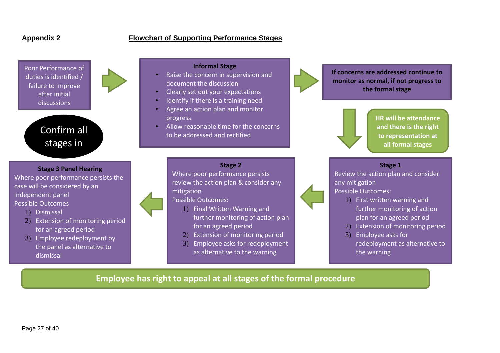#### **Appendix 2 Flowchart of Supporting Performance Stages**



Confirm all stages in

 $\blacksquare$ 

**Stage 3 Panel Hearing**  Where poor performance persists the case will be considered by an independent panel Possible Outcomes 1) Dismissal

- 2) Extension of monitoring period for an agreed period
- 3) Employee redeployment by the panel as alternative to dismissal

#### **Informal Stage**

- Raise the concern in supervision and document the discussion
- Clearly set out your expectations
- Identify if there is a training need
- Agree an action plan and monitor progress

mitigation

Possible Outcomes:

• Allow reasonable time for the concerns to be addressed and rectified

**Stage 2**

Where poor performance persists review the action plan & consider any

1) Final Written Warning and

2) Extension of monitoring period 3) Employee asks for redeployment as alternative to the warning

for an agreed period

further monitoring of action plan



**If concerns are addressed continue to monitor as normal, if not progress to the formal stage**



**HR will be attendance and there is the right to representation at all formal stages**

#### **Stage 1**

Review the action plan and consider any mitigation

Possible Outcomes:

- 1) First written warning and further monitoring of action plan for an agreed period
- 2) Extension of monitoring period
- 3) Employee asks for redeployment as alternative to the warning

#### **Employee has right to appeal at all stages of the formal procedure**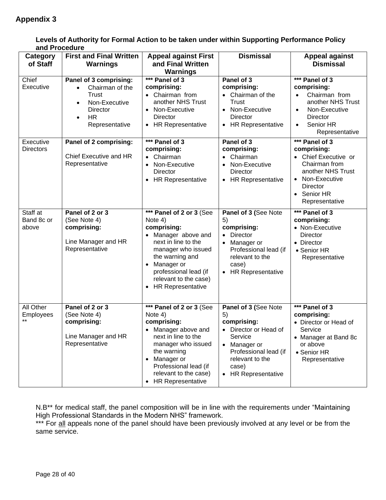| anu Froceuure<br><b>Category</b><br>of Staff | <b>First and Final Written</b><br>Warnings                                                                                                      | <b>Appeal against First</b><br>and Final Written<br>Warnings                                                                                                                                                                                     | <b>Dismissal</b>                                                                                                                                                        | <b>Appeal against</b><br><b>Dismissal</b>                                                                                                                          |
|----------------------------------------------|-------------------------------------------------------------------------------------------------------------------------------------------------|--------------------------------------------------------------------------------------------------------------------------------------------------------------------------------------------------------------------------------------------------|-------------------------------------------------------------------------------------------------------------------------------------------------------------------------|--------------------------------------------------------------------------------------------------------------------------------------------------------------------|
| Chief<br>Executive                           | Panel of 3 comprising:<br>Chairman of the<br>Trust<br>Non-Executive<br>$\bullet$<br><b>Director</b><br><b>HR</b><br>$\bullet$<br>Representative | *** Panel of 3<br>comprising:<br>Chairman from<br>$\bullet$<br>another NHS Trust<br>Non-Executive<br>$\bullet$<br>Director<br><b>HR Representative</b><br>$\bullet$                                                                              | Panel of 3<br>comprising:<br>• Chairman of the<br>Trust<br>• Non-Executive<br>Director<br>• HR Representative                                                           | *** Panel of 3<br>comprising:<br>Chairman from<br>another NHS Trust<br>Non-Executive<br>$\bullet$<br>Director<br>Senior HR<br>Representative                       |
| Executive<br><b>Directors</b>                | Panel of 2 comprising:<br>Chief Executive and HR<br>Representative                                                                              | *** Panel of 3<br>comprising:<br>Chairman<br>$\bullet$<br>Non-Executive<br>$\bullet$<br>Director<br><b>HR Representative</b><br>$\bullet$                                                                                                        | Panel of 3<br>comprising:<br>• Chairman<br>• Non-Executive<br><b>Director</b><br>• HR Representative                                                                    | *** Panel of 3<br>comprising:<br>• Chief Executive or<br>Chairman from<br>another NHS Trust<br>• Non-Executive<br><b>Director</b><br>• Senior HR<br>Representative |
| Staff at<br>Band 8c or<br>above              | Panel of 2 or 3<br>(See Note 4)<br>comprising:<br>Line Manager and HR<br>Representative                                                         | *** Panel of 2 or 3 (See<br>Note 4)<br>comprising:<br>Manager above and<br>next in line to the<br>manager who issued<br>the warning and<br>Manager or<br>professional lead (if<br>relevant to the case)<br><b>HR Representative</b><br>$\bullet$ | Panel of 3 (See Note<br>5)<br>comprising:<br>• Director<br>Manager or<br>Professional lead (if<br>relevant to the<br>case)<br>• HR Representative                       | *** Panel of 3<br>comprising:<br>• Non-Executive<br><b>Director</b><br>• Director<br>• Senior HR<br>Representative                                                 |
| All Other<br>Employees<br>$***$              | Panel of 2 or 3<br>(See Note 4)<br>comprising:<br>Line Manager and HR<br>Representative                                                         | *** Panel of 2 or 3 (See<br>Note 4)<br>comprising:<br>• Manager above and<br>next in line to the<br>manager who issued<br>the warning<br>Manager or<br>$\bullet$<br>Professional lead (if<br>relevant to the case)<br><b>HR Representative</b>   | Panel of 3 (See Note<br>5)<br>comprising:<br>• Director or Head of<br>Service<br>Manager or<br>Professional lead (if<br>relevant to the<br>case)<br>• HR Representative | *** Panel of 3<br>comprising:<br>• Director or Head of<br>Service<br>• Manager at Band 8c<br>or above<br>• Senior HR<br>Representative                             |

**Levels of Authority for Formal Action to be taken under within Supporting Performance Policy and Procedure**

N.B\*\* for medical staff, the panel composition will be in line with the requirements under "Maintaining High Professional Standards in the Modern NHS" framework.

\*\*\* For all appeals none of the panel should have been previously involved at any level or be from the same service.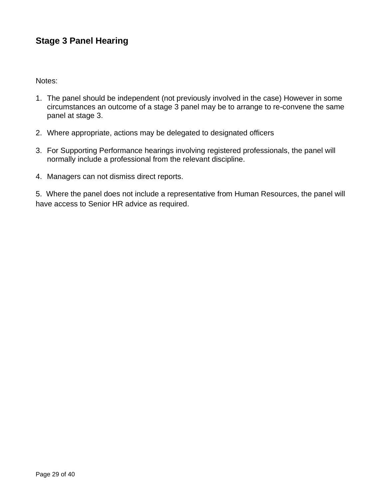#### **Stage 3 Panel Hearing**

Notes:

- 1. The panel should be independent (not previously involved in the case) However in some circumstances an outcome of a stage 3 panel may be to arrange to re-convene the same panel at stage 3.
- 2. Where appropriate, actions may be delegated to designated officers
- 3. For Supporting Performance hearings involving registered professionals, the panel will normally include a professional from the relevant discipline.
- 4. Managers can not dismiss direct reports.

5. Where the panel does not include a representative from Human Resources, the panel will have access to Senior HR advice as required.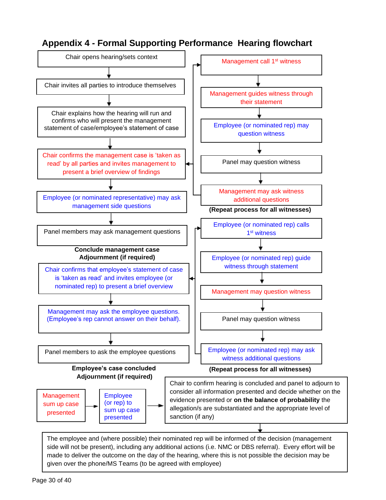#### **Appendix 4 - Formal Supporting Performance Hearing flowchart**



side will not be present), including any additional actions (i.e. NMC or DBS referral). Every effort will be made to deliver the outcome on the day of the hearing, where this is not possible the decision may be given over the phone/MS Teams (to be agreed with employee)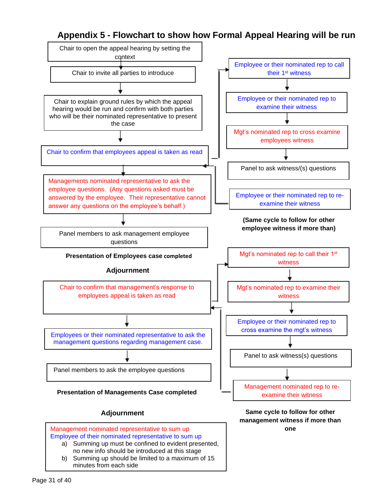#### **Appendix 5 - Flowchart to show how Formal Appeal Hearing will be run**

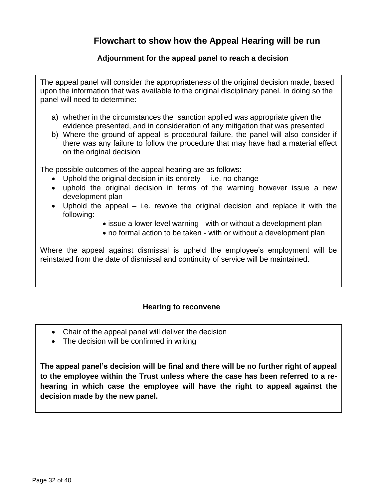#### **Flowchart to show how the Appeal Hearing will be run**

#### **Adjournment for the appeal panel to reach a decision**

The appeal panel will consider the appropriateness of the original decision made, based upon the information that was available to the original disciplinary panel. In doing so the panel will need to determine:

- a) whether in the circumstances the sanction applied was appropriate given the evidence presented, and in consideration of any mitigation that was presented
- b) Where the ground of appeal is procedural failure, the panel will also consider if there was any failure to follow the procedure that may have had a material effect on the original decision

The possible outcomes of the appeal hearing are as follows:

- Uphold the original decision in its entirety  $-$  i.e. no change
- uphold the original decision in terms of the warning however issue a new development plan
- Uphold the appeal i.e. revoke the original decision and replace it with the following:
	- issue a lower level warning with or without a development plan
	- no formal action to be taken with or without a development plan

Where the appeal against dismissal is upheld the employee's employment will be reinstated from the date of dismissal and continuity of service will be maintained.

#### **Hearing to reconvene**

- Chair of the appeal panel will deliver the decision
- The decision will be confirmed in writing

**The appeal panel's decision will be final and there will be no further right of appeal to the employee within the Trust unless where the case has been referred to a rehearing in which case the employee will have the right to appeal against the decision made by the new panel.**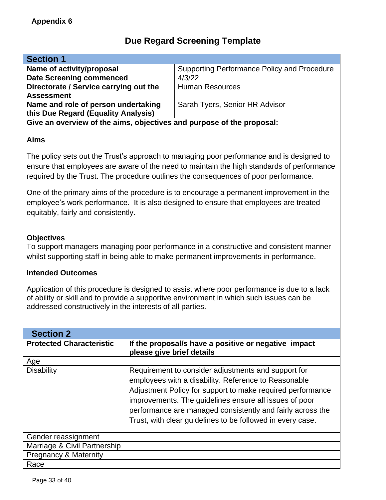#### **Due Regard Screening Template**

| <b>Section 1</b>                                                      |                                             |  |
|-----------------------------------------------------------------------|---------------------------------------------|--|
| Name of activity/proposal                                             | Supporting Performance Policy and Procedure |  |
| <b>Date Screening commenced</b>                                       | 4/3/22                                      |  |
| Directorate / Service carrying out the                                | <b>Human Resources</b>                      |  |
| <b>Assessment</b>                                                     |                                             |  |
| Name and role of person undertaking                                   | Sarah Tyers, Senior HR Advisor              |  |
| this Due Regard (Equality Analysis)                                   |                                             |  |
| Give an overview of the aims, objectives and purpose of the proposal: |                                             |  |
|                                                                       |                                             |  |

#### **Aims**

The policy sets out the Trust's approach to managing poor performance and is designed to ensure that employees are aware of the need to maintain the high standards of performance required by the Trust. The procedure outlines the consequences of poor performance.

One of the primary aims of the procedure is to encourage a permanent improvement in the employee's work performance. It is also designed to ensure that employees are treated equitably, fairly and consistently.

#### **Objectives**

To support managers managing poor performance in a constructive and consistent manner whilst supporting staff in being able to make permanent improvements in performance.

#### **Intended Outcomes**

Application of this procedure is designed to assist where poor performance is due to a lack of ability or skill and to provide a supportive environment in which such issues can be addressed constructively in the interests of all parties.

| <b>Section 2</b>                 |                                                                                                                                                                                                                                                                                                                                                                 |
|----------------------------------|-----------------------------------------------------------------------------------------------------------------------------------------------------------------------------------------------------------------------------------------------------------------------------------------------------------------------------------------------------------------|
| <b>Protected Characteristic</b>  | If the proposal/s have a positive or negative impact<br>please give brief details                                                                                                                                                                                                                                                                               |
| Age                              |                                                                                                                                                                                                                                                                                                                                                                 |
| <b>Disability</b>                | Requirement to consider adjustments and support for<br>employees with a disability. Reference to Reasonable<br>Adjustment Policy for support to make required performance<br>improvements. The guidelines ensure all issues of poor<br>performance are managed consistently and fairly across the<br>Trust, with clear guidelines to be followed in every case. |
| Gender reassignment              |                                                                                                                                                                                                                                                                                                                                                                 |
| Marriage & Civil Partnership     |                                                                                                                                                                                                                                                                                                                                                                 |
| <b>Pregnancy &amp; Maternity</b> |                                                                                                                                                                                                                                                                                                                                                                 |
| Race                             |                                                                                                                                                                                                                                                                                                                                                                 |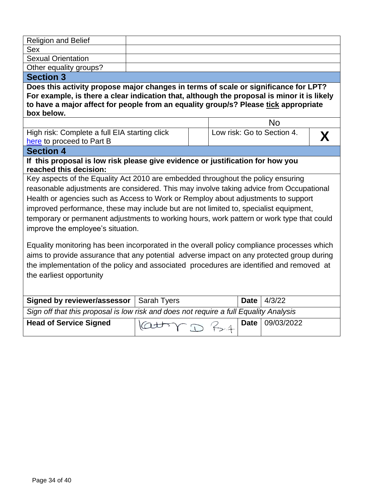| <b>Religion and Belief</b>                                                                                                                                                                                                                                                                                                                                                                                                                                                                  |                    |  |             |                            |  |
|---------------------------------------------------------------------------------------------------------------------------------------------------------------------------------------------------------------------------------------------------------------------------------------------------------------------------------------------------------------------------------------------------------------------------------------------------------------------------------------------|--------------------|--|-------------|----------------------------|--|
| Sex                                                                                                                                                                                                                                                                                                                                                                                                                                                                                         |                    |  |             |                            |  |
| <b>Sexual Orientation</b>                                                                                                                                                                                                                                                                                                                                                                                                                                                                   |                    |  |             |                            |  |
| Other equality groups?                                                                                                                                                                                                                                                                                                                                                                                                                                                                      |                    |  |             |                            |  |
| <b>Section 3</b>                                                                                                                                                                                                                                                                                                                                                                                                                                                                            |                    |  |             |                            |  |
| Does this activity propose major changes in terms of scale or significance for LPT?<br>For example, is there a clear indication that, although the proposal is minor it is likely<br>to have a major affect for people from an equality group/s? Please tick appropriate<br>box below.                                                                                                                                                                                                      |                    |  |             |                            |  |
|                                                                                                                                                                                                                                                                                                                                                                                                                                                                                             |                    |  |             | No                         |  |
| High risk: Complete a full EIA starting click<br>here to proceed to Part B                                                                                                                                                                                                                                                                                                                                                                                                                  |                    |  |             | Low risk: Go to Section 4. |  |
| <b>Section 4</b>                                                                                                                                                                                                                                                                                                                                                                                                                                                                            |                    |  |             |                            |  |
| If this proposal is low risk please give evidence or justification for how you<br>reached this decision:                                                                                                                                                                                                                                                                                                                                                                                    |                    |  |             |                            |  |
| Key aspects of the Equality Act 2010 are embedded throughout the policy ensuring<br>reasonable adjustments are considered. This may involve taking advice from Occupational<br>Health or agencies such as Access to Work or Remploy about adjustments to support<br>improved performance, these may include but are not limited to, specialist equipment,<br>temporary or permanent adjustments to working hours, work pattern or work type that could<br>improve the employee's situation. |                    |  |             |                            |  |
| Equality monitoring has been incorporated in the overall policy compliance processes which<br>aims to provide assurance that any potential adverse impact on any protected group during<br>the implementation of the policy and associated procedures are identified and removed at<br>the earliest opportunity                                                                                                                                                                             |                    |  |             |                            |  |
| <b>Signed by reviewer/assessor</b>                                                                                                                                                                                                                                                                                                                                                                                                                                                          | <b>Sarah Tyers</b> |  | <b>Date</b> | 4/3/22                     |  |
| Sign off that this proposal is low risk and does not require a full Equality Analysis                                                                                                                                                                                                                                                                                                                                                                                                       |                    |  |             |                            |  |
| <b>Head of Service Signed</b>                                                                                                                                                                                                                                                                                                                                                                                                                                                               |                    |  | <b>Date</b> | 09/03/2022                 |  |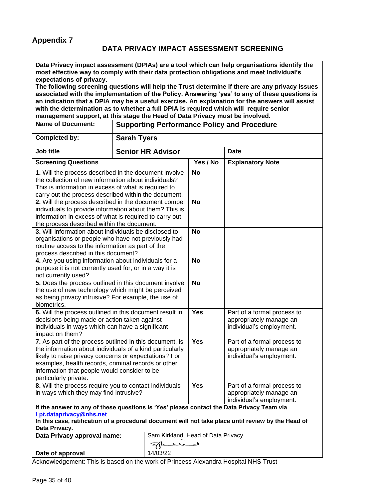#### **DATA PRIVACY IMPACT ASSESSMENT SCREENING**

**Data Privacy impact assessment (DPIAs) are a tool which can help organisations identify the most effective way to comply with their data protection obligations and meet Individual's expectations of privacy.** 

**The following screening questions will help the Trust determine if there are any privacy issues associated with the implementation of the Policy. Answering 'yes' to any of these questions is an indication that a DPIA may be a useful exercise. An explanation for the answers will assist with the determination as to whether a full DPIA is required which will require senior management support, at this stage the Head of Data Privacy must be involved.**

| <b>Name of Document:</b>                                                                                                                                                                                                                                                                                     | <b>Supporting Performance Policy and Procedure</b> |            |                                                                                    |
|--------------------------------------------------------------------------------------------------------------------------------------------------------------------------------------------------------------------------------------------------------------------------------------------------------------|----------------------------------------------------|------------|------------------------------------------------------------------------------------|
| <b>Completed by:</b>                                                                                                                                                                                                                                                                                         | <b>Sarah Tyers</b>                                 |            |                                                                                    |
| Job title                                                                                                                                                                                                                                                                                                    | <b>Senior HR Advisor</b>                           |            | <b>Date</b>                                                                        |
| <b>Screening Questions</b>                                                                                                                                                                                                                                                                                   |                                                    | Yes / No   | <b>Explanatory Note</b>                                                            |
| 1. Will the process described in the document involve<br>the collection of new information about individuals?<br>This is information in excess of what is required to<br>carry out the process described within the document.                                                                                |                                                    | <b>No</b>  |                                                                                    |
| 2. Will the process described in the document compel<br>individuals to provide information about them? This is<br>information in excess of what is required to carry out<br>the process described within the document.                                                                                       |                                                    | <b>No</b>  |                                                                                    |
| 3. Will information about individuals be disclosed to<br>organisations or people who have not previously had<br>routine access to the information as part of the<br>process described in this document?                                                                                                      |                                                    | <b>No</b>  |                                                                                    |
| 4. Are you using information about individuals for a<br>purpose it is not currently used for, or in a way it is<br>not currently used?                                                                                                                                                                       |                                                    | <b>No</b>  |                                                                                    |
| 5. Does the process outlined in this document involve<br>the use of new technology which might be perceived<br>as being privacy intrusive? For example, the use of<br>biometrics.                                                                                                                            |                                                    | <b>No</b>  |                                                                                    |
| 6. Will the process outlined in this document result in<br>decisions being made or action taken against<br>individuals in ways which can have a significant<br>impact on them?                                                                                                                               |                                                    | <b>Yes</b> | Part of a formal process to<br>appropriately manage an<br>individual's employment. |
| 7. As part of the process outlined in this document, is<br>the information about individuals of a kind particularly<br>likely to raise privacy concerns or expectations? For<br>examples, health records, criminal records or other<br>information that people would consider to be<br>particularly private. |                                                    | Yes        | Part of a formal process to<br>appropriately manage an<br>individual's employment. |
| 8. Will the process require you to contact individuals<br>in ways which they may find intrusive?                                                                                                                                                                                                             |                                                    | <b>Yes</b> | Part of a formal process to<br>appropriately manage an<br>individual's employment. |
| If the answer to any of these questions is 'Yes' please contact the Data Privacy Team via<br>Lpt.dataprivacy@nhs.net<br>In this case, ratification of a procedural document will not take place until review by the Head of<br>Data Privacy.                                                                 |                                                    |            |                                                                                    |
| Data Privacy approval name:                                                                                                                                                                                                                                                                                  | Sam Kirkland, Head of Data Privacy<br>لمصعللا      |            |                                                                                    |
| Date of approval                                                                                                                                                                                                                                                                                             | 14/03/22                                           |            |                                                                                    |

Acknowledgement: This is based on the work of Princess Alexandra Hospital NHS Trust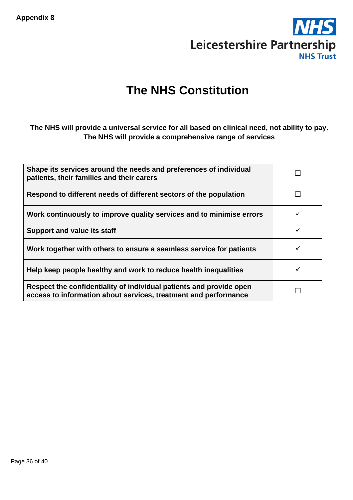

# **The NHS Constitution**

#### **The NHS will provide a universal service for all based on clinical need, not ability to pay. The NHS will provide a comprehensive range of services**

| Shape its services around the needs and preferences of individual<br>patients, their families and their carers                         |   |
|----------------------------------------------------------------------------------------------------------------------------------------|---|
| Respond to different needs of different sectors of the population                                                                      |   |
| Work continuously to improve quality services and to minimise errors                                                                   | ✓ |
| <b>Support and value its staff</b>                                                                                                     |   |
| Work together with others to ensure a seamless service for patients                                                                    |   |
| Help keep people healthy and work to reduce health inequalities                                                                        |   |
| Respect the confidentiality of individual patients and provide open<br>access to information about services, treatment and performance |   |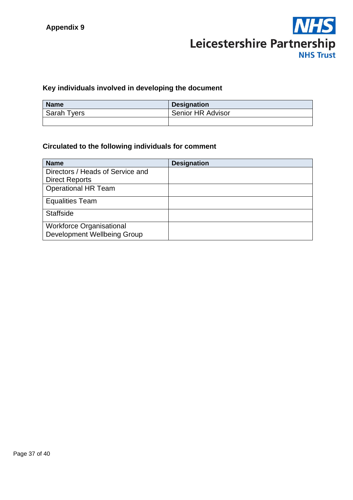

#### **Key individuals involved in developing the document**

| <b>Name</b>        | <b>Designation</b> |
|--------------------|--------------------|
| <b>Sarah Tyers</b> | Senior HR Advisor  |
|                    |                    |

#### **Circulated to the following individuals for comment**

| <b>Designation</b> |
|--------------------|
|                    |
|                    |
|                    |
|                    |
|                    |
|                    |
|                    |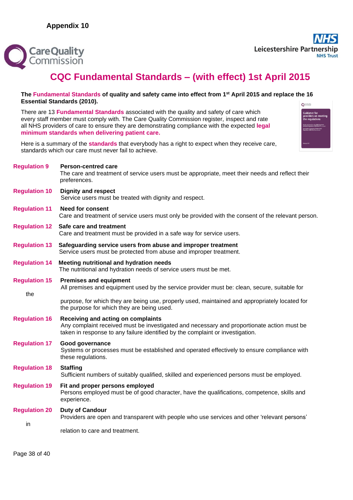

## **CQC Fundamental Standards – (with effect) 1st April 2015**

#### **The Fundamental Standards of quality and safety came into effect from 1st April 2015 and replace the 16 Essential Standards (2010).**  $\bigcap$  Care Quality

There are 13 **Fundamental Standards** associated with the quality and safety of care which every staff member must comply with. The Care Quality Commission register, inspect and rate all NHS providers of care to ensure they are demonstrating compliance with the expected **legal minimum standards when delivering patient care.**

Here is a summary of the **standards** that everybody has a right to expect when they receive care, standards which our care must never fail to achieve.

| <b>Regulation 9</b>         | <b>Person-centred care</b><br>The care and treatment of service users must be appropriate, meet their needs and reflect their<br>preferences.                                                                      |
|-----------------------------|--------------------------------------------------------------------------------------------------------------------------------------------------------------------------------------------------------------------|
| <b>Regulation 10</b>        | <b>Dignity and respect</b><br>Service users must be treated with dignity and respect.                                                                                                                              |
| <b>Regulation 11</b>        | <b>Need for consent</b><br>Care and treatment of service users must only be provided with the consent of the relevant person.                                                                                      |
|                             | <b>Regulation 12 Safe care and treatment</b><br>Care and treatment must be provided in a safe way for service users.                                                                                               |
| <b>Regulation 13</b>        | Safeguarding service users from abuse and improper treatment<br>Service users must be protected from abuse and improper treatment.                                                                                 |
| <b>Regulation 14</b>        | Meeting nutritional and hydration needs<br>The nutritional and hydration needs of service users must be met.                                                                                                       |
| <b>Regulation 15</b><br>the | <b>Premises and equipment</b><br>All premises and equipment used by the service provider must be: clean, secure, suitable for                                                                                      |
|                             | purpose, for which they are being use, properly used, maintained and appropriately located for<br>the purpose for which they are being used.                                                                       |
| <b>Regulation 16</b>        | Receiving and acting on complaints<br>Any complaint received must be investigated and necessary and proportionate action must be<br>taken in response to any failure identified by the complaint or investigation. |
| <b>Regulation 17</b>        | Good governance<br>Systems or processes must be established and operated effectively to ensure compliance with<br>these regulations.                                                                               |
| <b>Regulation 18</b>        | <b>Staffing</b><br>Sufficient numbers of suitably qualified, skilled and experienced persons must be employed.                                                                                                     |
| <b>Regulation 19</b>        | Fit and proper persons employed<br>Persons employed must be of good character, have the qualifications, competence, skills and<br>experience.                                                                      |
| <b>Regulation 20</b><br>in  | <b>Duty of Candour</b><br>Providers are open and transparent with people who use services and other 'relevant persons'<br>relation to care and treatment.                                                          |
|                             |                                                                                                                                                                                                                    |

Page 38 of 40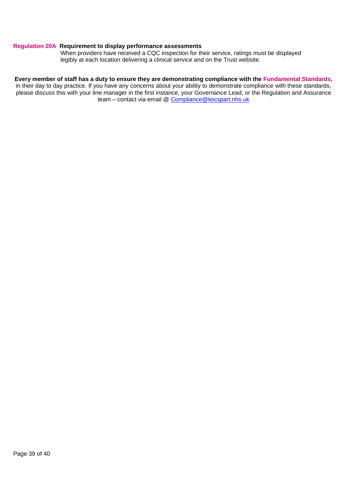#### **Regulation 20A Requirement to display performance assessments**

When providers have received a CQC inspection for their service, ratings must be displayed legibly at each location delivering a clinical service and on the Trust website.

#### **Every member of staff has a duty to ensure they are demonstrating compliance with the Fundamental Standards,**

in their day to day practice. If you have any concerns about your ability to demonstrate compliance with these standards, please discuss this with your line manager in the first instance, your Governance Lead, or the Regulation and Assurance team – contact via email @ [Compliance@leicspart.nhs.uk](file:///C:/Users/kirklandsa/AppData/Local/Microsoft/Windows/INetCache/manjral/AppData/Local/Microsoft/Windows/Temporary%20Internet%20Files/Content.Outlook/59MLA15U/Compliance@leicspart.nhs.uk)